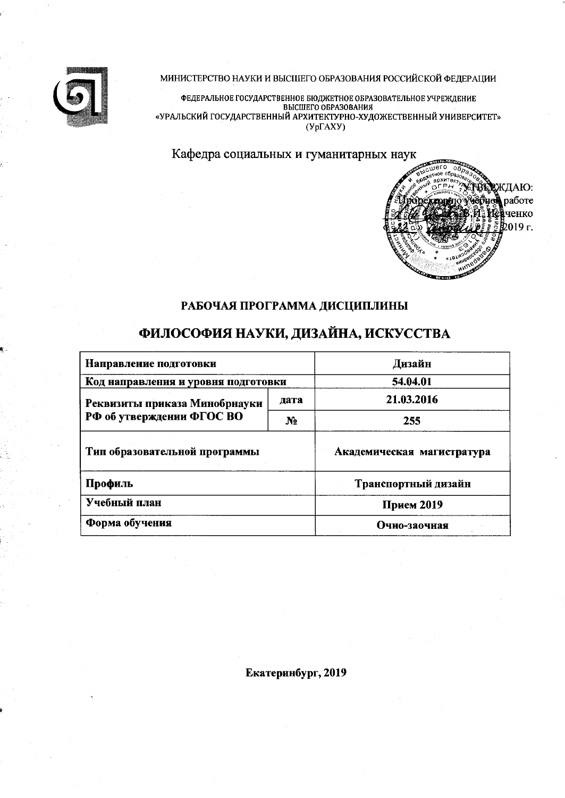

МИНИСТЕРСТВО НАУКИ И ВЫСШЕГО ОБРАЗОВАНИЯ РОССИЙСКОЙ ФЕДЕРАЦИИ

ФЕДЕРАЛЬНОЕ ГОСУДАРСТВЕННОЕ БЮДЖЕТНОЕ ОБРАЗОВАТЕЛЬНОЕ УЧРЕЖДЕНИЕ<br>ВЫСШЕГО ОБРАЗОВАНИЯ<br>«УРАЛЬСКИЙ ГОСУДАРСТВЕННЫЙ АРХИТЕКТУРНО-ХУДОЖЕСТВЕННЫЙ УНИВЕРСИТЕТ»  $(Yp\Gamma AXY)$ 

Кафедра социальных и гуманитарных наук



## РАБОЧАЯ ПРОГРАММА ДИСЦИПЛИНЫ

# ФИЛОСОФИЯ НАУКИ, ДИЗАЙНА, ИСКУССТВА

| Направление подготовки              | Дизайн                     |                     |  |  |
|-------------------------------------|----------------------------|---------------------|--|--|
| Код направления и уровня подготовки | 54.04.01                   |                     |  |  |
| Реквизиты приказа Минобрнауки       | дата                       | 21.03.2016          |  |  |
| РФ об утверждении ФГОС ВО           | N <sub>2</sub>             | 255                 |  |  |
| Тип образовательной программы       | Академическая магистратура |                     |  |  |
| Профиль                             |                            | Транспортный дизайн |  |  |
| Учебный план                        | Прием 2019                 |                     |  |  |
| Форма обучения                      | Очно-заочная               |                     |  |  |

Екатеринбург, 2019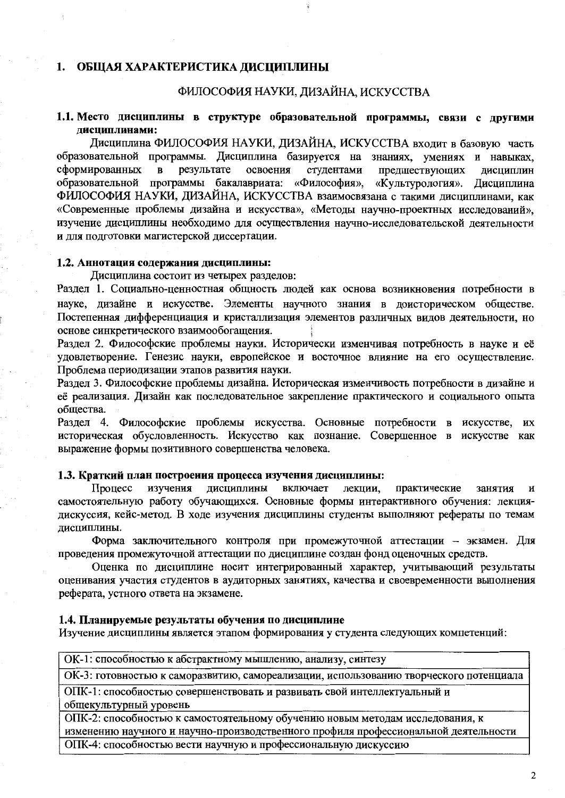## 1. ОБЩАЯ ХАРАКТЕРИСТИКА ДИСЦИПЛИНЫ

## ФИЛОСОФИЯ НАУКИ, ДИЗАЙНА, ИСКУССТВА

## 1.1. Место дисциплины в структуре образовательной программы, связи с другими лиспиплинами:

Дисциплина ФИЛОСОФИЯ НАУКИ, ДИЗАЙНА, ИСКУССТВА входит в базовую часть образовательной программы. Дисциплина базируется на знаниях, умениях и навыках, сформированных результате  $\mathbf{B}$ освоения студентами предшествующих лисциплин образовательной программы бакалавриата: «Философия». «Культурология». Дисциплина ФИЛОСОФИЯ НАУКИ, ДИЗАЙНА, ИСКУССТВА взаимосвязана с такими лиспиплинами, как «Современные проблемы дизайна и искусства», «Методы научно-проектных исследований», изучение дисциплины необходимо для осуществления научно-исследовательской деятельности и для подготовки магистерской диссертации.

## 1.2. Аннотация содержания дисциплины:

Дисциплина состоит из четырех разделов:

Раздел 1. Социально-ценностная общность людей как основа возникновения потребности в науке, дизайне и искусстве. Элементы научного знания в доисторическом обществе. Постепенная дифференциация и кристаллизация элементов различных видов деятельности, но основе синкретического взаимообогащения.

Раздел 2. Философские проблемы науки. Исторически изменчивая потребность в науке и её удовлетворение. Генезис науки, европейское и восточное влияние на его осуществление. Проблема периодизации этапов развития науки.

Раздел 3. Философские проблемы дизайна. Историческая изменчивость потребности в дизайне и её реализация. Лизайн как последовательное закрепление практического и социального опыта общества.

Раздел 4. Философские проблемы искусства. Основные потребности в искусстве, их историческая обусловленность. Искусство как познание. Совершенное в искусстве как выражение формы позитивного совершенства человека.

#### 1.3. Краткий план построения процесса изучения дисциплины:

Процесс изучения дисциплины включает лекции. практические занятия  $\mathbf{M}$ самостоятельную работу обучающихся. Основные формы интерактивного обучения: лекциядискуссия, кейс-метод. В ходе изучения дисциплины студенты выполняют рефераты по темам дисциплины.

Форма заключительного контроля при промежуточной аттестации - экзамен. Для проведения промежуточной аттестации по дисциплине создан фонд оценочных средств.

Оценка по дисциплине носит интегрированный характер, учитывающий результаты оценивания участия студентов в аудиторных занятиях, качества и своевременности выполнения реферата, устного ответа на экзамене.

#### 1.4. Планируемые результаты обучения по дисциплине

Изучение дисциплины является этапом формирования у студента следующих компетенций:

| ОК-1: способностью к абстрактному мышлению, анализу, синтезу                           |  |  |  |  |  |  |  |
|----------------------------------------------------------------------------------------|--|--|--|--|--|--|--|
| ОК-3: готовностью к саморазвитию, самореализации, использованию творческого потенциала |  |  |  |  |  |  |  |
| ОПК-1: способностью совершенствовать и развивать свой интеллектуальный и               |  |  |  |  |  |  |  |
| общекультурный уровень                                                                 |  |  |  |  |  |  |  |

ОПК-2: способностью к самостоятельному обучению новым методам исследования, к изменению научного и научно-производственного профиля профессиональной деятельности

ОПК-4: способностью вести научную и профессиональную дискуссию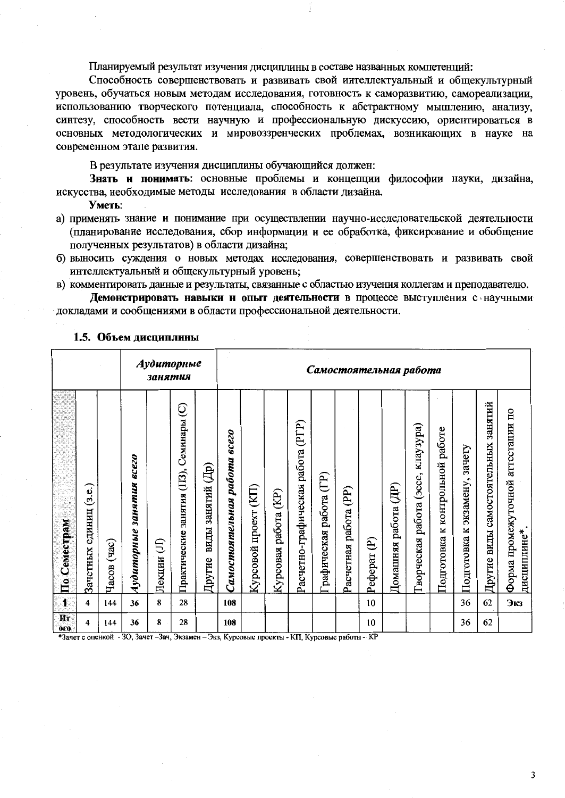Планируемый результат изучения дисциплины в составе названных компетенций:

Способность совершенствовать и развивать свой интеллектуальный и общекультурный уровень, обучаться новым методам исследования, готовность к саморазвитию, самореализации, использованию творческого потенциала, способность к абстрактному мышлению, анализу, синтезу, способность вести научную и профессиональную дискуссию, ориентироваться в основных методологических и мировоззренческих проблемах, возникающих в науке на современном этапе развития.

В результате изучения дисциплины обучающийся должен:

Знать и понимать: основные проблемы и концепции философии науки, дизайна, искусства, необходимые методы исследования в области дизайна.

#### Уметь:

- а) применять знание и понимание при осуществлении научно-исследовательской деятельности (планирование исследования, сбор информации и ее обработка, фиксирование и обобщение полученных результатов) в области дизайна;
- б) выносить суждения о новых методах исследования, совершенствовать и развивать свой интеллектуальный и общекультурный уровень;
- в) комментировать данные и результаты, связанные с областью изучения коллегам и преподавателю.

Демонстрировать навыки и опыт деятельности в процессе выступления с научными докладами и сообщениями в области профессиональной деятельности.

|                      |                              |                |                                       | занятия     | Аудиторные                                     |                                                     | Самостоятельная работа                    |                             |                                       |                                      |                        |                          |               |                            |                                             |                                       |                                        |                                           |                                                                             |
|----------------------|------------------------------|----------------|---------------------------------------|-------------|------------------------------------------------|-----------------------------------------------------|-------------------------------------------|-----------------------------|---------------------------------------|--------------------------------------|------------------------|--------------------------|---------------|----------------------------|---------------------------------------------|---------------------------------------|----------------------------------------|-------------------------------------------|-----------------------------------------------------------------------------|
| По Семестрам         | (3.e.)<br>единиц<br>Зачетных | (4ac)<br>Часов | <b>8CC20</b><br>занятия<br>Аудиторные | E<br>Лекции | Семинары (C)<br>занятия (113),<br>Практические | $\widehat{\mathbb{E}}$<br>занятий<br>виды<br>Другие | <b>8CC20</b><br>paboma<br>Самостоятельная | (KII)<br>проект<br>Курсовой | $\widetilde{E}$<br>работа<br>Курсовая | (PTP)<br>Расчетно-графическая работа | рафическая работа (ГР) | (PP)<br>Расчетная работа | E)<br>Pedepar | (ДP)<br>работа<br>Домашняя | клаузура)<br>(3CCE,<br>работа<br>Гворческая | работе<br>к контрольной<br>Подготовка | зачету<br>экзамену,<br>×<br>Подготовка | занятий<br>виды самостоятельных<br>Другие | $\overline{\mathbf{u}}$<br>аттестации<br>Форма промежуточной<br>дисциплине* |
| $\ddot{\phantom{a}}$ | 4                            | 144            | 36                                    | 8           | 28                                             |                                                     | 108                                       |                             |                                       |                                      |                        |                          | 10            |                            |                                             |                                       | 36                                     | 62                                        | Экз                                                                         |
| Ит<br>0 <sub>0</sub> | 4                            | 144            | 36                                    | 8           | 28                                             |                                                     | 108                                       |                             |                                       |                                      |                        |                          | 10            |                            |                                             |                                       | 36                                     | 62                                        |                                                                             |

## 1.5. Объем дисциплины

\*Зачет с оценкой - 3О, Зачет - Зач, Экзамен - Экз, Курсовые проекты - КП, Курсовые работы - КР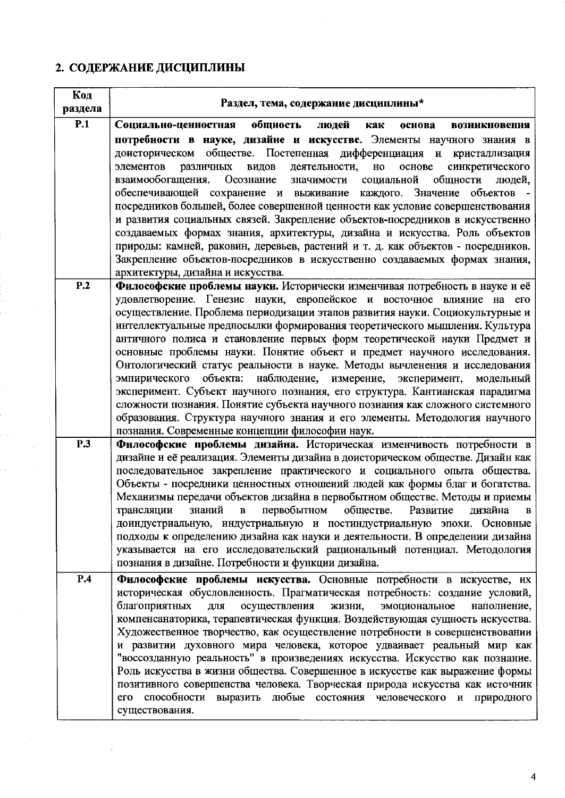# 2. СОДЕРЖАНИЕ ДИСЦИПЛИНЫ

| Код     | Раздел, тема, содержание дисциплины*                                                                                                                                             |
|---------|----------------------------------------------------------------------------------------------------------------------------------------------------------------------------------|
| раздела |                                                                                                                                                                                  |
| P.1     | Социально-ценностная<br>общность<br>людей<br>как<br>основа<br>возникновення                                                                                                      |
|         | потребности в науке, дизайне и искусстве. Элементы научного знания в                                                                                                             |
|         | доисторическом обществе. Постепенная дифференциация и кристаллизация                                                                                                             |
|         | элементов<br>различных<br>деятельности,<br>основе<br>видов<br>$_{\rm HO}$<br>синкретического<br>Осознание<br>взаимообогащения.<br>значимости<br>социальной<br>общности<br>людей, |
|         | обеспечивающей сохранение и выживание каждого. Значение<br>объектов -                                                                                                            |
|         | посредников большей, более совершенной ценности как условие совершенствования                                                                                                    |
|         | и развития социальных связей. Закрепление объектов-посредников в искусственно                                                                                                    |
|         | создаваемых формах знания, архитектуры, дизайна и искусства. Роль объектов                                                                                                       |
|         | природы: камней, раковин, деревьев, растений и т. д. как объектов - посредников.                                                                                                 |
|         | Закрепление объектов-посредников в искусственно создаваемых формах знания,                                                                                                       |
|         | архитектуры, дизайна и искусства.                                                                                                                                                |
| P.2     | Философские проблемы науки. Исторически изменчивая потребность в науке и её                                                                                                      |
|         | удовлетворение. Генезис науки, европейское и восточное влияние на его<br>осуществление. Проблема периодизации этапов развития науки. Социокультурные и                           |
|         | интеллектуальные предпосылки формирования теоретического мышления. Культура                                                                                                      |
|         | античного полиса и становление первых форм теоретической науки Предмет и                                                                                                         |
|         | основные проблемы науки. Понятие объект и предмет научного исследования.                                                                                                         |
|         | Онтологический статус реальности в науке. Методы вычленения и исследования                                                                                                       |
|         | эмпирического объекта: наблюдение, измерение, эксперимент, модельный                                                                                                             |
|         | эксперимент. Субъект научного познания, его структура. Кантианская парадигма                                                                                                     |
|         | сложности познания. Понятие субъекта научного познания как сложного системного                                                                                                   |
|         | образования. Структура научного знания и его элементы. Методология научного<br>познания. Современные концепции философии наук.                                                   |
| P.3     | Фнлософские проблемы дизайна. Историческая изменчивость потребности в                                                                                                            |
|         | дизайне и её реализация. Элементы дизайна в доисторическом обществе. Дизайн как                                                                                                  |
|         | последовательное закрепление практического и социального опыта общества.                                                                                                         |
|         | Объекты - посредники ценностных отношений людей как формы благ и богатства.                                                                                                      |
|         | Механизмы передачи объектов дизайна в первобытном обществе. Методы и приемы                                                                                                      |
|         | первобытном<br>обществе.<br>Развитие<br>дизайна<br>знаний<br>трансляции<br>$\, {\bf B}$<br>$\, {\bf B} \,$                                                                       |
|         | доиндустриальную, индустриальную и постиндустриальную эпохи. Основные<br>подходы к определению дизайна как науки и деятельности. В определении дизайна                           |
|         | указывается на его исследовательский рациональный потенциал. Методология                                                                                                         |
|         | познания в дизайне. Потребности и функции дизайна.                                                                                                                               |
| P.4     | Философские проблемы искусства. Основные потребности в искусстве, их                                                                                                             |
|         | историческая обусловленность. Прагматическая потребность: создание условий,                                                                                                      |
|         | благоприятных<br>осуществления<br>жизни,<br>для<br>эмоциональное<br>наполнение,                                                                                                  |
|         | компенсанаторика, терапевтическая функция. Воздействующая сущность искусства.                                                                                                    |
|         | Художественное творчество, как осуществление потребности в совершенствовании                                                                                                     |
|         | и развитии духовного мира человека, которое удваивает реальный мир как                                                                                                           |
|         | "воссозданную реальность" в произведениях искусства. Искусство как познание.<br>Роль искусства в жизни общества. Совершенное в искусстве как выражение формы                     |
|         | позитивного совершенства человека. Творческая природа искусства как источник                                                                                                     |
|         | его способности выразить любые состояния человеческого и природного                                                                                                              |
|         | существования.                                                                                                                                                                   |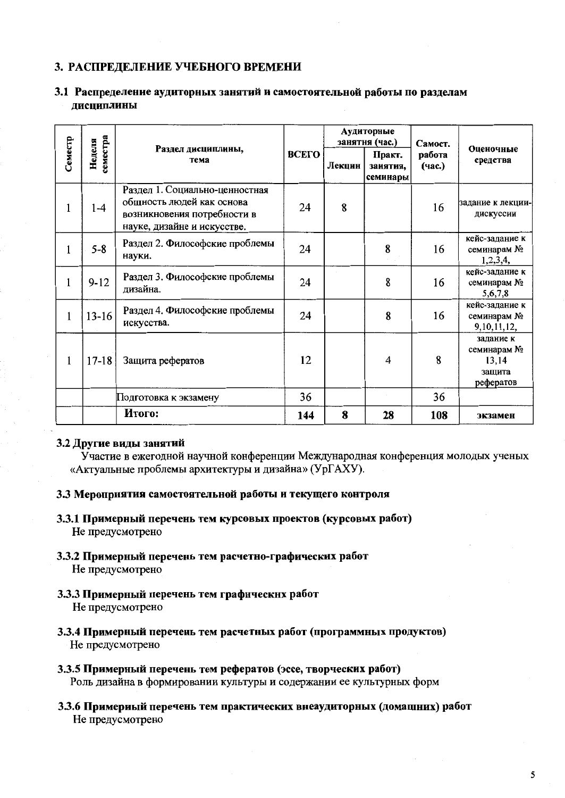## 3. РАСПРЕДЕЛЕНИЕ УЧЕБНОГО ВРЕМЕНИ

## 3.1 Распределение аудиторных занятий и самостоятельной работы по разделам **ЛИСЦИПЛИНЫ**

|              |           |                                                                                                                           |     |        | Аудиторные<br>занятня (час.)   | Самост.          |                                                          |  |
|--------------|-----------|---------------------------------------------------------------------------------------------------------------------------|-----|--------|--------------------------------|------------------|----------------------------------------------------------|--|
| Семестр      | Неделя    | геместра<br>Раздел дисциплины,<br>тема                                                                                    |     | Лекцин | Практ.<br>заиятия,<br>семинары | работа<br>(час.) | Оценочные<br>средства                                    |  |
| 1            | $1 - 4$   | Раздел 1. Социально-ценностная<br>общность людей как основа<br>возникновения потребности в<br>науке, дизайне и искусстве. | 24  | 8      |                                | 16               | задание к лекции-<br>дискуссии                           |  |
| $\mathbf{1}$ | $5 - 8$   | Раздел 2. Философские проблемы<br>науки.                                                                                  | 24  |        | 8                              | 16               | кейс-задание к<br>семинарам №<br>1,2,3,4,                |  |
| 1            | $9 - 12$  | Раздел 3. Философские проблемы<br>дизайна.                                                                                | 24  |        | 8                              | 16               | кейс-задание к<br>семинарам №<br>5,6,7,8                 |  |
| $\mathbf{1}$ | $13 - 16$ | Раздел 4. Философские проблемы<br>искусства.                                                                              | 24  |        | 8                              | 16               | кейс-задание к<br>семинарам №<br>9, 10, 11, 12,          |  |
| $\mathbf{1}$ | $17 - 18$ | Защита рефератов                                                                                                          | 12  |        | 4                              | 8                | задание к<br>семинарам №<br>13,14<br>защита<br>рефератов |  |
|              |           | Подготовка к экзамену                                                                                                     | 36  |        |                                | 36               |                                                          |  |
|              |           | Итого:                                                                                                                    | 144 | 8      | 28                             | 108              | экзамен                                                  |  |

### 3.2 Другие виды занятий

Участие в ежегодной научной конференции Международная конференция молодых ученых «Актуальные проблемы архитектуры и дизайна» (УрГАХУ).

## 3.3 Мероприятия самостоятельной работы и текущего контроля

- 3.3.1 Примерный перечень тем курсовых проектов (курсовых работ) Не предусмотрено
- 3.3.2 Примерный перечень тем расчетно-графических работ Не предусмотрено
- 3.3.3 Примерный перечень тем графнческих работ Не предусмотрено
- 3.3.4 Примерный перечень тем расчетных работ (программных продуктов) Не предусмотрено
- 3.3.5 Примерный перечень тем рефератов (эссе, творческих работ) Роль дизайна в формировании культуры и содержании ее культурных форм
- 3.3.6 Примериый перечень тем практических внеаудиторных (домашних) работ Не предусмотрено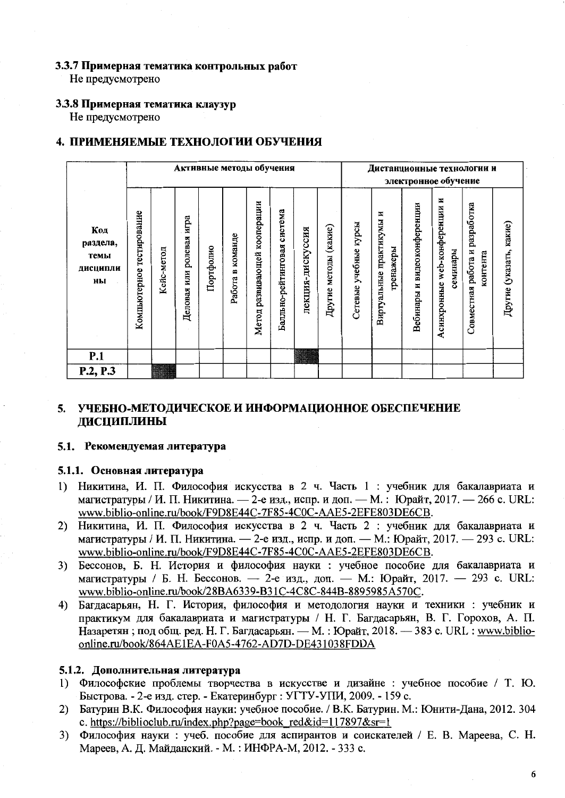## 3.3.7 Примерная тематика контрольных работ

Не предусмотрено

# 3.3.8 Примерная тематика клаузур

Не предусмотрено

## 4. ПРИМЕНЯЕМЫЕ ТЕХНОЛОГИИ ОБУЧЕНИЯ

|                                           | Активные методы обучения     |            |                             |           |                        |                                    |                                |                      |                             |                             |                                          |                                   | Дистанционные технологии и<br>электронное обучение |                                            |                         |
|-------------------------------------------|------------------------------|------------|-----------------------------|-----------|------------------------|------------------------------------|--------------------------------|----------------------|-----------------------------|-----------------------------|------------------------------------------|-----------------------------------|----------------------------------------------------|--------------------------------------------|-------------------------|
| Код<br>раздела,<br>темы<br>дисципли<br>ны | тестирование<br>Компьютерное | Кейс-метод | игра<br>Деловая или ролевая | Портфолно | команде<br>m<br>Работа | кооперации<br>развивающей<br>Метод | система<br>Балльно-рейтинговая | дискуссия<br>лекция- | (какие)<br>методы<br>Другие | курсы<br>учебные<br>Сетевые | E<br>Виртуальные практикумы<br>гренажеры | видеоконференции<br>z<br>Вебинары | Асинхронные web-конференции и<br>семинары          | Совместная работа и разработка<br>контента | Другие (указать, какие) |
| P.1                                       |                              |            |                             |           |                        |                                    |                                |                      |                             |                             |                                          |                                   |                                                    |                                            |                         |
| P.2, P.3                                  |                              |            |                             |           |                        |                                    |                                |                      |                             |                             |                                          |                                   |                                                    |                                            |                         |

## 5. УЧЕБНО-МЕТОДИЧЕСКОЕ И ИНФОРМАЦИОННОЕ ОБЕСПЕЧЕНИЕ ДИСЦИПЛИНЫ

## 5.1. Рекомендуемая литература

## 5.1.1. Основная литература

- Никитина, И. П. Философия искусства в 2 ч. Часть 1 : учебник для бакалавриата и  $1)$ магистратуры / И. П. Никитина. — 2-е изд., испр. и доп. — М.: Юрайт, 2017. — 266 с. URL: www.biblio-online.ru/book/F9D8E44C-7F85-4C0C-AAE5-2EFE803DE6CB.
- 2) Никитина, И. П. Философия искусства в 2 ч. Часть 2 : учебник для бакалавриата и магистратуры / И. П. Никитина. — 2-е изд., испр. и доп. — М.: Юрайт, 2017. — 293 с. URL: www.biblio-online.ru/book/F9D8E44C-7F85-4C0C-AAE5-2EFE803DE6CB.
- 3) Бессонов, Б. Н. История и философия науки : учебное пособие для бакалавриата и магистратуры / Б. Н. Бессонов. — 2-е изд., доп. — М.: Юрайт, 2017. — 293 с. URL: www.biblio-online.ru/book/28BA6339-B31C-4C8C-844B-8895985A570C.
- Багдасарьян, Н. Г. История, философия и методология науки и техники : учебник и 4) практикум для бакалавриата и магистратуры / Н. Г. Багдасарьян, В. Г. Горохов, А. П. Назаретян; под общ. ред. Н. Г. Багдасарьян. — М.: Юрайт, 2018. — 383 с. URL: www.biblioonline.ru/book/864AE1EA-F0A5-4762-AD7D-DE431038FDDA

## 5.1.2. Дополнительная литература

- 1) Философские проблемы творчества в искусстве и дизайне : учебное пособие / Т. Ю. Быстрова. - 2-е изд. стер. - Екатеринбург : УГТУ-УПИ, 2009. - 159 с.
- 2) Батурин В.К. Философия науки: учебное пособие. / В.К. Батурин. М.: Юнити-Дана, 2012. 304 c. https://biblioclub.ru/index.php?page=book red&id=117897&sr=1
- Философия науки: учеб. пособие для аспирантов и соискателей / Е. В. Мареева, С. Н.  $3)$ Мареев, А. Д. Майданский. - М.: ИНФРА-М, 2012. - 333 с.

6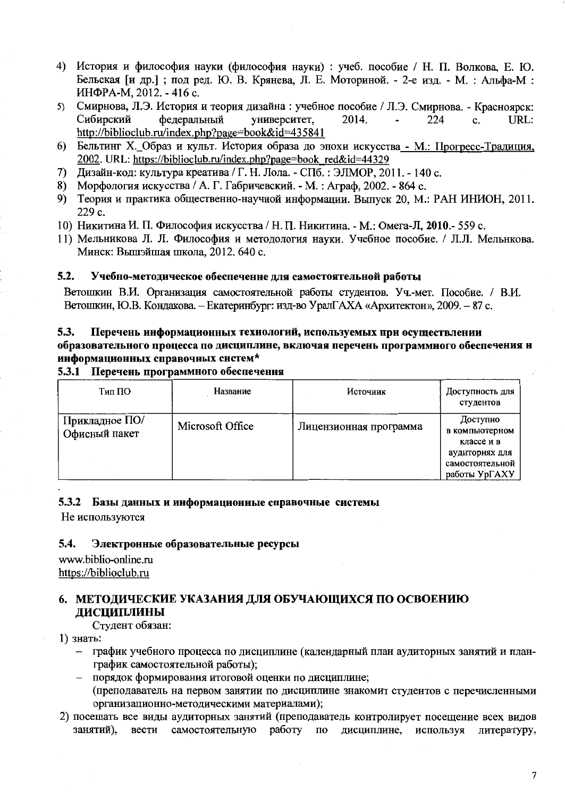- 4) История и философия науки (философия науки) : учеб. пособие / Н. П. Волкова, Е. Ю. Бельская [и др.]; под ред. Ю. В. Крянева, Л. Е. Моториной. - 2-е изд. - М. : Альфа-М : ИНФРА-М, 2012. - 416 с.
- Смирнова, Л.Э. История и теория дизайна: учебное пособие / Л.Э. Смирнова. Красноярск:  $5)$ Сибирский фелеральный университет, 2014. 224 URL:  $\mathbf{c}$ .  $\mathbf{r}$ http://biblioclub.ru/index.php?page=book&id=435841
- 6) Бельтинг Х. Образ и культ. История образа до эпохи искусства М.: Прогресс-Традиция, 2002. URL: https://biblioclub.ru/index.php?page=book red&id=44329
- Лизайн-код: культура креатива / Г. Н. Лола. СПб. : ЭЛМОР, 2011. 140 с.  $7)$
- 8) Морфология искусства / А. Г. Габричевский. М.: Аграф. 2002. 864 с.
- 9) Теория и практика общественно-научной информации. Выпуск 20, М.: РАН ИНИОН, 2011. 229 c.
- 10) Никитина И. П. Философия искусства / Н. П. Никитина. М.: Омега-Л, 2010.- 559 с.
- 11) Мельникова Л. Л. Философия и методология науки. Учебное пособие. / Л.Л. Мельнкова. Минск: Вышэйшая школа, 2012. 640 с.

#### $5.2.$ Учебно-методическое обеспеченне для самостоятельной работы

Ветошкин В.И. Организация самостоятельной работы студентов. Уч.-мет. Пособие. / В.И. Ветошкин, Ю.В. Кондакова. - Екатеринбург: изд-во УралГАХА «Архитектон», 2009. - 87 с.

#### Перечень информационных технологий, используемых при осуществлении 5.3. образовательного процесса по дисциплине, включая перечень программного обеспечения н

## информационных справочных систем\*

## 5.3.1 Перечень программного обеспечення

| Тип ПО                          | Название         | Источник               | Доступность для<br>студентов                                                                   |
|---------------------------------|------------------|------------------------|------------------------------------------------------------------------------------------------|
| Прикладное ПО/<br>Офисный пакет | Microsoft Office | Лицензионная программа | Доступно<br>в компьютерном<br>классе и в<br>аудиториях для<br>самостоятельной<br>работы УрГАХУ |

## 5.3.2 Базы данных и информационные справочные системы

Не используются

#### $5.4.$ Электронные образовательные ресурсы

www.biblio-online.ru https://biblioclub.ru

## 6. МЕТОДИЧЕСКИЕ УКАЗАНИЯ ДЛЯ ОБУЧАЮЩИХСЯ ПО ОСВОЕНИЮ **ЛИСЦИПЛИНЫ**

Студент обязан:

1) знать:

- график учебного процесса по дисциплине (календарный план аудиторных занятий и планграфик самостоятельной работы);
- порядок формирования итоговой оценки по дисциплине; (преподаватель на первом занятии по дисциплине знакомит студентов с перечисленными организационно-методическими материалами);
- 2) посещать все виды аудиторных занятий (преподаватель контролирует посещение всех видов занятий). вести самостоятельную работу по дисциплине, используя литературу,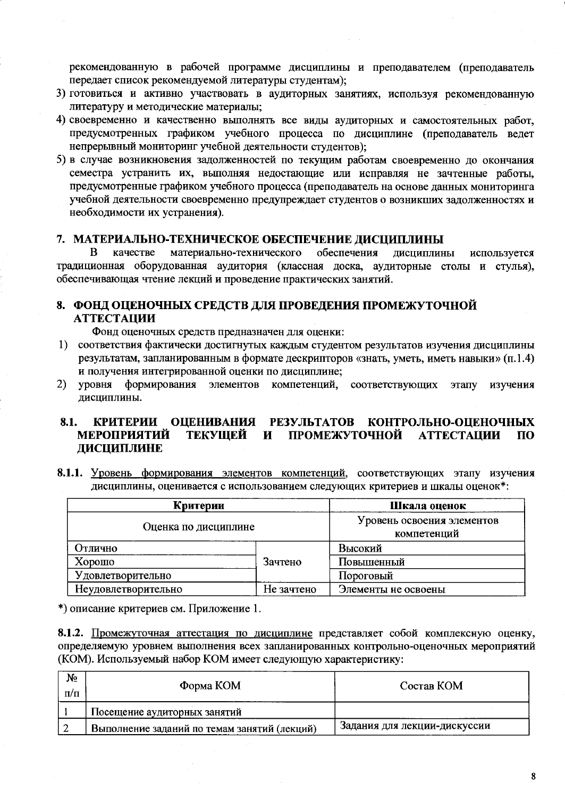рекомендованную в рабочей программе дисциплины и преподавателем (преподаватель передает список рекомендуемой литературы студентам);

- 3) готовиться и активно участвовать в аудиторных занятиях, используя рекомендованную литературу и методические материалы;
- 4) своевременно и качественно выполнять все виды аудиторных и самостоятельных работ, предусмотренных графиком учебного процесса по дисциплине (преподаватель ведет непрерывный мониторинг учебной деятельности студентов);
- 5) в случае возникновения задолженностей по текущим работам своевременно до окончания семестра устранить их, выполняя недостающие или исправляя не зачтенные работы, предусмотренные графиком учебного процесса (преподаватель на основе данных мониторинга учебной деятельности своевременно предупреждает студентов о возникших задолженностях и необходимости их устранения).

### 7. МАТЕРИАЛЬНО-ТЕХНИЧЕСКОЕ ОБЕСПЕЧЕНИЕ ДИСЦИПЛИНЫ

материально-технического обеспечения <sub>B</sub> качестве лиспиплины используется традиционная оборудованная аудитория (классная доска, аудиторные столы и стулья), обеспечивающая чтение лекций и проведение практических занятий.

## 8. ФОНД ОЦЕНОЧНЫХ СРЕДСТВ ДЛЯ ПРОВЕДЕНИЯ ПРОМЕЖУТОЧНОЙ **АТТЕСТАЦИИ**

Фонд оценочных средств предназначен для оценки:

- 1) соответствия фактически достигнутых каждым студентом результатов изучения дисциплины результатам, запланированным в формате дескрипторов «знать, уметь, иметь навыки» (п.1.4) и получения интегрированной оценки по дисциплине;
- уровня формирования элементов компетенций, соответствующих этапу  $(2)$ изучения дисциплины.

#### КРИТЕРИИ ОЦЕНИВАНИЯ РЕЗУЛЬТАТОВ КОНТРОЛЬНО-ОЦЕНОЧНЫХ 8.1. **МЕРОПРИЯТИЙ** ТЕКУЩЕЙ И ПРОМЕЖУТОЧНОЙ **АТТЕСТАЦИИ**  $\Pi$ <sup>O</sup> ДИСЦИПЛИНЕ

8.1.1. Уровень формирования элементов компетенций, соответствующих этапу изучения дисциплины, оценивается с использованием следующих критериев и шкалы оценок\*:

| Критерии             | Шкала оценок                              |                     |  |
|----------------------|-------------------------------------------|---------------------|--|
| Оценка по дисциплине | Уровень освоения элементов<br>компетенций |                     |  |
| Отлично              |                                           | Высокий             |  |
| Хорошо               | Зачтено                                   | Повышенный          |  |
| Удовлетворительно    |                                           | Пороговый           |  |
| Неудовлетворительно  | Не зачтено                                | Элементы не освоены |  |

\*) описание критериев см. Приложение 1.

8.1.2. Промежуточная аттестация по дисциплине представляет собой комплексную оценку, определяемую уровнем выполнения всех запланированных контрольно-оценочных мероприятий (КОМ). Используемый набор КОМ имеет следующую характеристику:

| No<br>$\pi/\pi$ | $\Phi$ орма КОМ                              | Состав КОМ                   |
|-----------------|----------------------------------------------|------------------------------|
|                 | Посещение аудиторных занятий                 |                              |
|                 | Выполнение заданий по темам занятий (лекций) | Задания для лекции-дискуссии |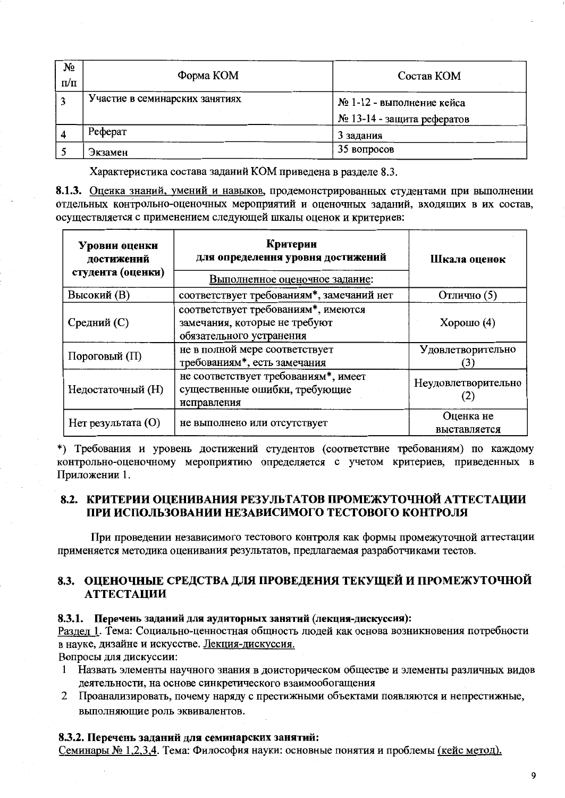| $N_2$<br>$\Pi/\Pi$ | Форма КОМ                      | Состав КОМ                                              |  |  |  |  |
|--------------------|--------------------------------|---------------------------------------------------------|--|--|--|--|
|                    | Участие в семинарских занятиях | № 1-12 - выполнение кейса<br>№ 13-14 - защита рефератов |  |  |  |  |
|                    | Реферат                        | 3 задания                                               |  |  |  |  |
|                    | Экзамен                        | 35 вопросов                                             |  |  |  |  |

Характеристика состава заданий КОМ приведена в разделе 8.3.

8.1.3. Оценка знаний, умений и навыков, продемонстрированных студентами при выполнении отдельных контрольно-оценочных мероприятий и оценочных заданий, входящих в их состав, осуществляется с применением следующей шкалы оценок и критериев:

| Уровни оценки<br>достижений<br>студента (оценки) | Критерии<br>для определення уровня достижений<br>Выполненное оценочное задание:                  | Шкала оценок        |
|--------------------------------------------------|--------------------------------------------------------------------------------------------------|---------------------|
| Высокий (В)                                      | соответствует требованиям*, замечаний нет                                                        | Отлично (5)         |
| Средний (С)                                      | соответствует требованиям*, имеются<br>замечания, которые не требуют<br>обязательного устранения | Хорошо $(4)$        |
| Пороговый (П)                                    | не в полной мере соответствует<br>требованиям*, есть замечания                                   | Удовлетворительно   |
| Недостаточный (H)                                | не соответствует требованиям*, имеет<br>существенные ошибки, требующие<br>исправления            | Неудовлетворительно |
| Нет результата (O)                               | Оценка не<br>выставляется                                                                        |                     |

\*) Требования и уровень достижений студентов (соответствие требованиям) по каждому контрольно-оценочному мероприятию определяется с учетом критериев, приведенных в Приложении 1.

## 8.2. КРИТЕРИИ ОПЕНИВАНИЯ РЕЗУЛЬТАТОВ ПРОМЕЖУТОЧНОЙ АТТЕСТАЦИИ ПРИ ИСПОЛЬЗОВАНИИ НЕЗАВИСИМОГО ТЕСТОВОГО КОНТРОЛЯ

При проведении независимого тестового контроля как формы промежуточной аттестации применяется методика оценивания результатов, предлагаемая разработчиками тестов.

## 8.3. ОЦЕНОЧНЫЕ СРЕДСТВА ДЛЯ ПРОВЕДЕНИЯ ТЕКУЩЕЙ И ПРОМЕЖУТОЧНОЙ **АТТЕСТАЦИИ**

## 8.3.1. Перечень заданий для аудиторных занятий (лекция-дискуссия):

Раздел 1. Тема: Социально-ценностная общность людей как основа возникновения потребности в науке, дизайне и искусстве. Лекция-дискуссия.

Вопросы для дискуссии:

- Назвать элементы научного знания в доисторическом обществе и элементы различных видов  $\mathbf{1}$ деятельности, на основе синкретического взаимообогащения
- 2 Проанализировать, почему наряду с престижными объектами появляются и непрестижные, выполняющие роль эквивалентов.

## 8.3.2. Перечень заданий для семинарских занятий:

Семинары № 1,2,3,4. Тема: Философия науки: основные понятия и проблемы (кейс метод).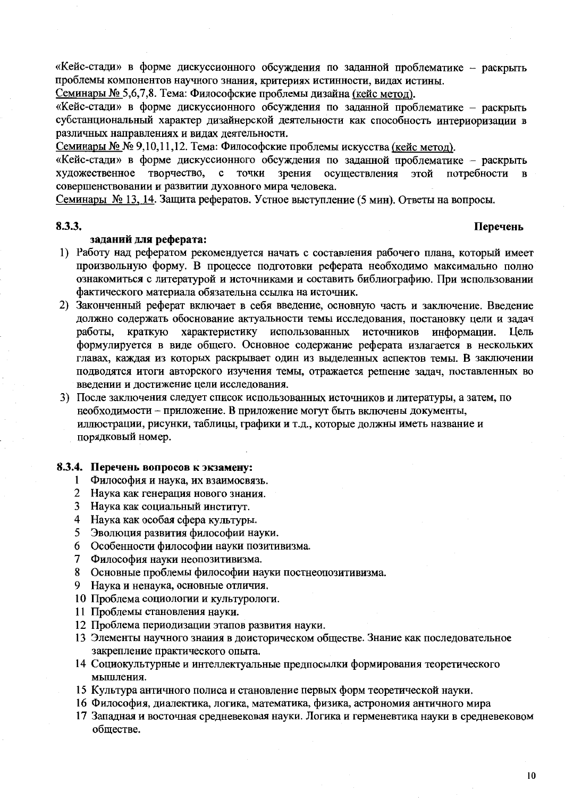«Кейс-стади» в форме дискуссионного обсуждения по заданной проблематике - раскрыть проблемы компонентов научного знания, критериях истинности, вилах истины.

Семинары № 5.6.7.8. Тема: Философские проблемы дизайна (кейс метод).

«Кейс-стади» в форме дискуссионного обсуждения по заданной проблематике - раскрыть субстанциональный характер дизайнерской деятельности как способность интериоризации в различных направлениях и видах деятельности.

Семинары № № 9,10,11,12. Тема: Философские проблемы искусства (кейс метод).

«Кейс-стади» в форме дискуссионного обсуждения по заданной проблематике - раскрыть творчество, с точки художественное зрения осуществления этой потребности совершенствовании и развитии духовного мира человека.

Семинары № 13, 14. Защита рефератов. Устное выступление (5 мин). Ответы на вопросы.

#### 8.3.3.

#### Перечень

## заданий для реферата:

- 1) Работу над рефератом рекомендуется начать с составления рабочего плана, который имеет произвольную форму. В процессе подготовки реферата необходимо максимально полно ознакомиться с литературой и источниками и составить библиографию. При использовании фактического материала обязательна ссылка на источник.
- 2) Законченный реферат включает в себя введение, основную часть и заключение. Введение должно содержать обоснование актуальности темы исследования, постановку цели и задач краткую характеристику использованных источников информации. Цель работы, формулируется в виде общего. Основное содержание реферата излагается в нескольких главах, каждая из которых раскрывает один из выделенных аспектов темы. В заключении подводятся итоги авторского изучения темы, отражается решение задач, поставленных во введении и достижение цели исследования.
- 3) После заключения следует список использованных источников и литературы, а затем, по необходимости - приложение. В приложение могут быть включены документы, иллюстрации, рисунки, таблицы, графики и т.д., которые должны иметь название и порядковый номер.

## 8.3.4. Перечень вопросов к экзамену:

- Философия и наука, их взаимосвязь.  $\mathbf{1}$
- 2 Наука как генерация нового знания.
- $3<sup>1</sup>$ Наука как социальный институт.
- 4 Наука как особая сфера культуры.
- Эволюция развития философии науки. 5
- 6 Особенности философии науки позитивизма.
- $7\overline{ }$ Философия науки неопозитивизма.
- Основные проблемы философии науки постнеопозитивизма. 8
- 9 Наука и ненаука, основные отличия.
- 10 Проблема социологии и культурологи.
- 11 Проблемы становления науки.
- 12 Проблема периодизации этапов развития науки.
- 13 Элементы научного знания в доисторическом обществе. Знание как последовательное закрепление практического опыта.
- 14 Социокультурные и интеллектуальные предпосылки формирования теоретического мышления.
- 15 Культура античного полиса и становление первых форм теоретической науки.
- 16 Философия, диалектика, логика, математика, физика, астрономия античного мира
- 17 Западная и восточная средневековая науки. Логика и герменевтика науки в средневековом обществе.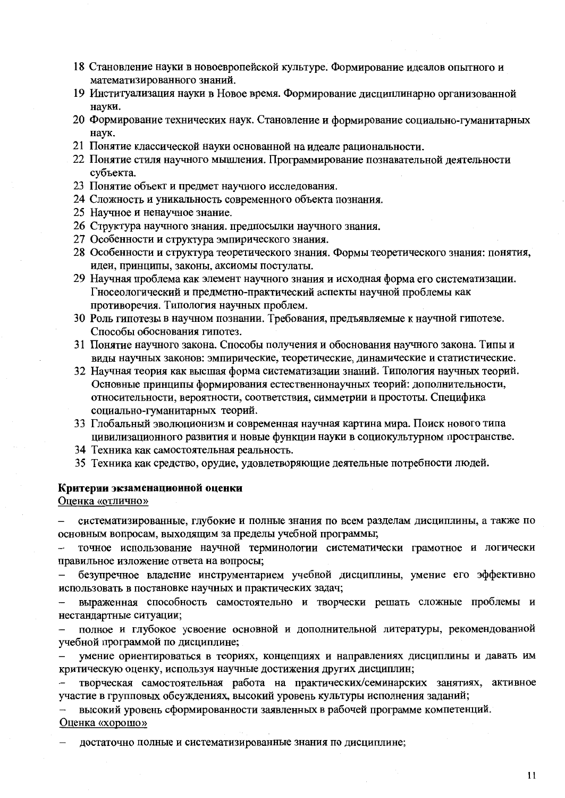- 18 Становление науки в новоевропейской культуре. Формирование идеалов опытного и математизированного знаний.
- 19 Институализация науки в Новое время. Формирование дисциплинарно организованной науки.
- 20 Формирование технических наук. Становление и формирование социально-гуманитарных наук.
- 21 Понятие классической науки основанной на идеале рациональности.
- 22 Понятие стиля научного мышления. Программирование познавательной деятельности субъекта.
- 23 Понятие объект и предмет научного исследования.
- 24 Сложность и уникальность современного объекта познания.
- 25 Научное и ненаучное знание.
- 26 Структура научного знания. предпосылки научного знания.
- 27 Особенности и структура эмпирического знания.
- 28 Особенности и структура теоретического знания. Формы теоретического знания: понятия, идеи, принципы, законы, аксиомы постулаты.
- 29 Научная проблема как элемент научного знания и исходная форма его систематизации. Гносеологический и предметно-практический аспекты научной проблемы как противоречия. Типология научных проблем.
- 30 Роль гипотезы в научном познании. Требования, предъявляемые к научной гипотезе. Способы обоснования гипотез.
- 31 Понятие научного закона. Способы получения и обоснования научного закона. Типы и виды научных законов: эмпирические, теоретические, динамические и статистические.
- 32 Научная теория как высшая форма систематизации знаний. Типология научных теорий. Основные принципы формирования естественнонаучных теорий: дополнительности, относительности, вероятности, соответствия, симметрии и простоты. Специфика социально-гуманитарных теорий.
- 33 Глобальный эволюционизм и современная научная картина мира. Поиск нового типа цивилизационного развития и новые функции науки в социокультурном пространстве.
- 34 Техника как самостоятельная реальность.
- 35 Техника как средство, орудие, удовлетворяющие деятельные потребности людей.

### Критерии экзаменационной оценки

#### Оценка «отлично»

систематизированные, глубокие и полные знания по всем разделам дисциплины, а также по основным вопросам, выходящим за пределы учебной программы;

точное использование научной терминологии систематически грамотное и логически правильное изложение ответа на вопросы;

безупречное владение инструментарием учебной дисциплины, умение его эффективно использовать в постановке научных и практических задач;

выраженная способность самостоятельно и творчески решать сложные проблемы и нестандартные ситуации;

полное и глубокое усвоение основной и дополнительной литературы, рекомендованной учебной программой по дисциплине;

умение ориентироваться в теориях, концепциях и направлениях дисциплины и давать им критическую оценку, используя научные достижения других дисциплин;

творческая самостоятельная работа на практических/семинарских занятиях, активное участие в групповых обсуждениях, высокий уровень культуры исполнения заданий;

высокий уровень сформированности заявленных в рабочей программе компетенций. Оценка «хорошо»

достаточно полные и систематизированные знания по дисциплине;

 $11$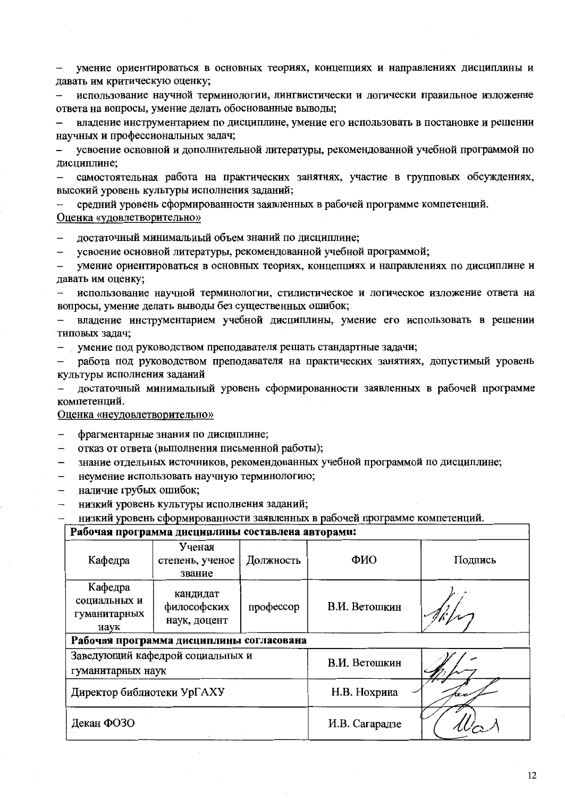умение ориентироваться в основных теориях, концепциях и направлениях дисциплины и давать им критическую оценку;

использование научной терминологии, лингвистически и логически правильное изложение ответа на вопросы, умение делать обоснованные выводы;

владение инструментарием по дисциплине, умение его использовать в постановке и решении научных и профессиональных задач;

усвоение основной и дополнительной литературы, рекомендованной учебной программой по лисциплине:

самостоятельная работа на практических занятиях, участие в групповых обсуждениях, высокий уровень культуры исполнения заданий;

средний уровень сформированности заявленных в рабочей программе компетенций. Оценка «удовлетворительно»

достаточный минимальный объем знаний по дисциплине:

усвоение основной литературы, рекомендованной учебной программой;  $\equiv$ 

умение ориентироваться в основных теориях, концепциях и направлениях по дисциплине и давать им оценку;

использование научной терминологии, стилистическое и логическое изложение ответа на вопросы, умение делать выводы без существенных ошибок;

владение инструментарием учебной дисциплины, умение его использовать в решении типовых задач;

умение под руководством преподавателя решать стандартные задачи;  $\equiv$ 

работа под руководством преподавателя на практических занятиях, допустимый уровень культуры исполнения заданий

достаточный минимальный уровень сформированности заявленных в рабочей программе компетенций.

Оценка «неудовлетворительно»

- $\equiv$ фрагментарные знания по дисциплине;
- отказ от ответа (выполнения письменной работы);
- знание отдельных источников, рекомендованных учебной программой по дисциплине;  $\equiv$
- неумение использовать научную терминологию;  $\overline{\phantom{0}}$
- наличие грубых ошибок;
- низкий уровень культуры исполнения заданий;

низкий уровень сформированности заявленных в рабочей программе компетенций.

#### Рабочая программа лисциплины составлена авторами:

|                                                 | --------- <del>. .</del>                 |           |                |         |
|-------------------------------------------------|------------------------------------------|-----------|----------------|---------|
| Кафедра                                         | Ученая<br>степень, ученое<br>звание      | Должность | ФИО            | Подпись |
| Кафедра<br>социальных и<br>гуманитарных<br>наук | кандидат<br>философских<br>наук, доцент  | профессор | В.И. Ветошкин  |         |
|                                                 | Рабочая программа дисциплины согласована |           |                |         |
| гуманитарных наук                               | Заведующий кафедрой социальных и         |           | В.И. Ветошкин  |         |
| Директор библиотеки УрГАХУ                      |                                          |           | Н.В. Нохрина   |         |
| Декан ФОЗО                                      |                                          |           | И.В. Сагарадзе |         |